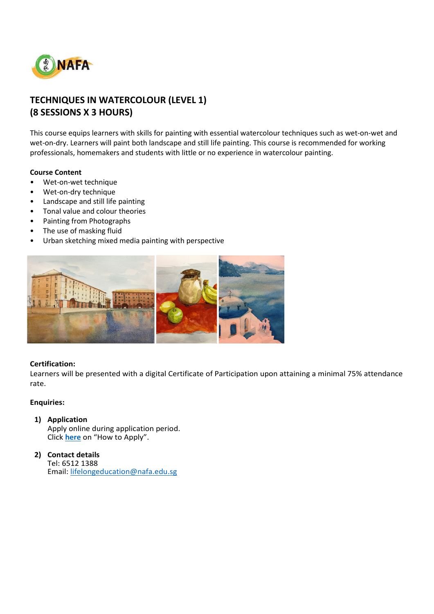

# **TECHNIQUES IN WATERCOLOUR (LEVEL 1) (8 SESSIONS X 3 HOURS)**

This course equips learners with skills for painting with essential watercolour techniques such as wet-on-wet and wet-on-dry. Learners will paint both landscape and still life painting. This course is recommended for working professionals, homemakers and students with little or no experience in watercolour painting.

### **Course Content**

- Wet-on-wet technique
- Wet-on-dry technique
- Landscape and still life painting
- Tonal value and colour theories
- Painting from Photographs
- The use of masking fluid
- Urban sketching mixed media painting with perspective



#### **Certification:**

Learners will be presented with a digital Certificate of Participation upon attaining a minimal 75% attendance rate.

### **Enquiries:**

#### **1) Application**

Apply online during application period. Click **[here](https://www.nafa.edu.sg/courses/part-time/short-courses#collapseFive)** on "How to Apply".

#### **2) Contact details** Tel: 6512 1388 Email: [lifelongeducation@nafa.edu.sg](mailto:lifelongeducation@nafa.edu.sg)